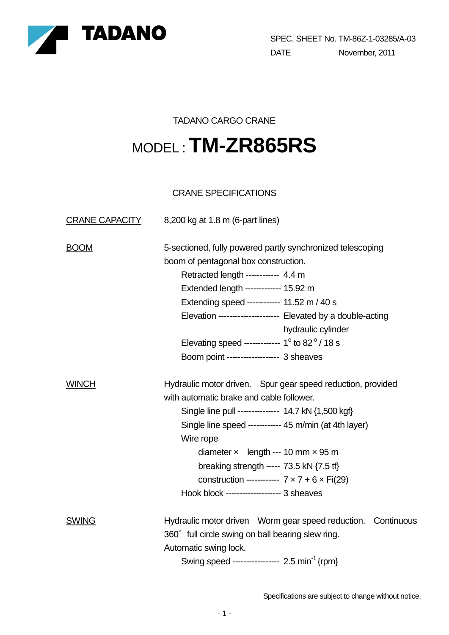

SPEC. SHEET No. TM-86Z-1-03285/A-03 DATE November, 2011

### TADANO CARGO CRANE

# MODEL : **TM-ZR865RS**

## CRANE SPECIFICATIONS

| <b>CRANE CAPACITY</b> | 8,200 kg at 1.8 m (6-part lines)                              |  |  |  |  |  |  |
|-----------------------|---------------------------------------------------------------|--|--|--|--|--|--|
| <b>BOOM</b>           | 5-sectioned, fully powered partly synchronized telescoping    |  |  |  |  |  |  |
|                       | boom of pentagonal box construction.                          |  |  |  |  |  |  |
|                       | Retracted length ----------- 4.4 m                            |  |  |  |  |  |  |
|                       | Extended length ------------- 15.92 m                         |  |  |  |  |  |  |
|                       | Extending speed ----------- 11.52 m / 40 s                    |  |  |  |  |  |  |
|                       | Elevation --------------------- Elevated by a double-acting   |  |  |  |  |  |  |
|                       | hydraulic cylinder                                            |  |  |  |  |  |  |
|                       | Elevating speed ------------- $1^\circ$ to 82 $^\circ$ / 18 s |  |  |  |  |  |  |
|                       | Boom point ------------------ 3 sheaves                       |  |  |  |  |  |  |
| <b>WINCH</b>          | Hydraulic motor driven. Spur gear speed reduction, provided   |  |  |  |  |  |  |
|                       | with automatic brake and cable follower.                      |  |  |  |  |  |  |
|                       | Single line pull -------------- 14.7 kN {1,500 kgf}           |  |  |  |  |  |  |
|                       | Single line speed ------------ 45 m/min (at 4th layer)        |  |  |  |  |  |  |
|                       | Wire rope                                                     |  |  |  |  |  |  |
|                       | diameter $\times$ length --- 10 mm $\times$ 95 m              |  |  |  |  |  |  |
|                       | breaking strength ----- 73.5 kN $\{7.5 \text{ ft}\}$          |  |  |  |  |  |  |
|                       | construction ------------ $7 \times 7 + 6 \times Fi(29)$      |  |  |  |  |  |  |
|                       | Hook block ------------------- 3 sheaves                      |  |  |  |  |  |  |
| <b>SWING</b>          | Hydraulic motor driven Worm gear speed reduction. Continuous  |  |  |  |  |  |  |
|                       | 360° full circle swing on ball bearing slew ring.             |  |  |  |  |  |  |
|                       | Automatic swing lock.                                         |  |  |  |  |  |  |
|                       | Swing speed ---------------- 2.5 min <sup>-1</sup> {rpm}      |  |  |  |  |  |  |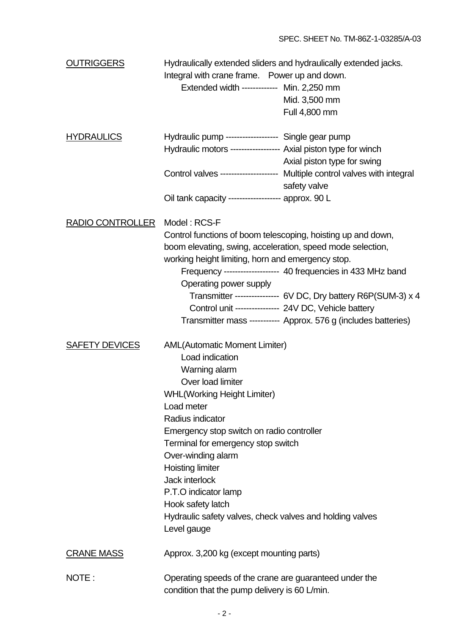| <b>OUTRIGGERS</b>       | Hydraulically extended sliders and hydraulically extended jacks.<br>Integral with crane frame. Power up and down.<br>Extended width ------------ Min. 2,250 mm<br>Mid. 3,500 mm<br>Full 4,800 mm                                                                                                                                                                                                                                                                                     |  |  |  |
|-------------------------|--------------------------------------------------------------------------------------------------------------------------------------------------------------------------------------------------------------------------------------------------------------------------------------------------------------------------------------------------------------------------------------------------------------------------------------------------------------------------------------|--|--|--|
| <b>HYDRAULICS</b>       | Hydraulic pump ------------------ Single gear pump<br>Hydraulic motors ------------------ Axial piston type for winch<br>Axial piston type for swing                                                                                                                                                                                                                                                                                                                                 |  |  |  |
|                         | Control valves -------------------- Multiple control valves with integral<br>safety valve                                                                                                                                                                                                                                                                                                                                                                                            |  |  |  |
|                         | Oil tank capacity ------------------ approx. 90 L                                                                                                                                                                                                                                                                                                                                                                                                                                    |  |  |  |
| <b>RADIO CONTROLLER</b> | Model: RCS-F<br>Control functions of boom telescoping, hoisting up and down,<br>boom elevating, swing, acceleration, speed mode selection,<br>working height limiting, horn and emergency stop.<br>Frequency ------------------- 40 frequencies in 433 MHz band<br>Operating power supply<br>Transmitter --------------- 6V DC, Dry battery R6P(SUM-3) x 4<br>Control unit --------------- 24V DC, Vehicle battery<br>Transmitter mass ---------- Approx. 576 g (includes batteries) |  |  |  |
| <b>SAFETY DEVICES</b>   | <b>AML(Automatic Moment Limiter)</b><br>Load indication<br>Warning alarm<br>Over load limiter<br><b>WHL (Working Height Limiter)</b><br>Load meter<br>Radius indicator<br>Emergency stop switch on radio controller<br>Terminal for emergency stop switch<br>Over-winding alarm<br><b>Hoisting limiter</b><br>Jack interlock<br>P.T.O indicator lamp<br>Hook safety latch<br>Hydraulic safety valves, check valves and holding valves<br>Level gauge                                 |  |  |  |
| <b>CRANE MASS</b>       | Approx. 3,200 kg (except mounting parts)                                                                                                                                                                                                                                                                                                                                                                                                                                             |  |  |  |
| NOTE:                   | Operating speeds of the crane are guaranteed under the<br>condition that the pump delivery is 60 L/min.                                                                                                                                                                                                                                                                                                                                                                              |  |  |  |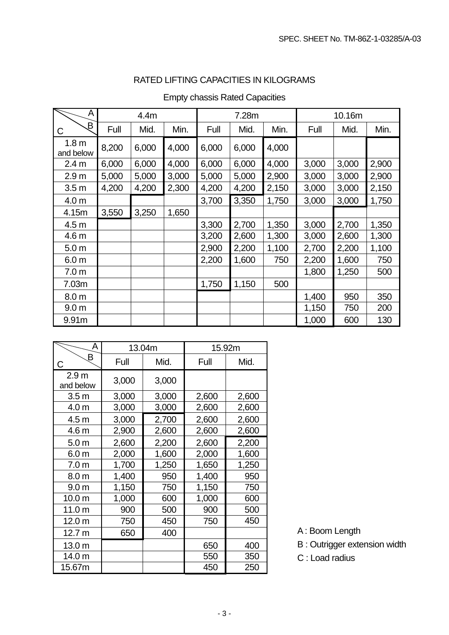## RATED LIFTING CAPACITIES IN KILOGRAMS

| A                             | 4.4m  |       | 7.28m |       |       | 10.16m |       |       |       |
|-------------------------------|-------|-------|-------|-------|-------|--------|-------|-------|-------|
| Β<br>C                        | Full  | Mid.  | Min.  | Full  | Mid.  | Min.   | Full  | Mid.  | Min.  |
| 1.8 <sub>m</sub><br>and below | 8,200 | 6,000 | 4,000 | 6,000 | 6,000 | 4,000  |       |       |       |
| 2.4 <sub>m</sub>              | 6,000 | 6,000 | 4,000 | 6,000 | 6,000 | 4,000  | 3,000 | 3,000 | 2,900 |
| 2.9 <sub>m</sub>              | 5,000 | 5,000 | 3,000 | 5,000 | 5,000 | 2,900  | 3,000 | 3,000 | 2,900 |
| 3.5 <sub>m</sub>              | 4,200 | 4,200 | 2,300 | 4,200 | 4,200 | 2,150  | 3,000 | 3,000 | 2,150 |
| 4.0 <sub>m</sub>              |       |       |       | 3,700 | 3,350 | 1,750  | 3,000 | 3,000 | 1,750 |
| 4.15m                         | 3,550 | 3,250 | 1,650 |       |       |        |       |       |       |
| 4.5 <sub>m</sub>              |       |       |       | 3,300 | 2,700 | 1,350  | 3,000 | 2,700 | 1,350 |
| 4.6 <sub>m</sub>              |       |       |       | 3,200 | 2,600 | 1,300  | 3,000 | 2,600 | 1,300 |
| 5.0 <sub>m</sub>              |       |       |       | 2,900 | 2,200 | 1,100  | 2,700 | 2,200 | 1,100 |
| 6.0 <sub>m</sub>              |       |       |       | 2,200 | 1,600 | 750    | 2,200 | 1,600 | 750   |
| 7.0 <sub>m</sub>              |       |       |       |       |       |        | 1,800 | 1,250 | 500   |
| 7.03m                         |       |       |       | 1,750 | 1,150 | 500    |       |       |       |
| 8.0 <sub>m</sub>              |       |       |       |       |       |        | 1,400 | 950   | 350   |
| 9.0 <sub>m</sub>              |       |       |       |       |       |        | 1,150 | 750   | 200   |
| 9.91m                         |       |       |       |       |       |        | 1,000 | 600   | 130   |

## Empty chassis Rated Capacities

| А                             |       | 13.04m | 15.92m |       |  |
|-------------------------------|-------|--------|--------|-------|--|
| B<br>C                        | Full  | Mid.   | Full   | Mid.  |  |
| 2.9 <sub>m</sub><br>and below | 3,000 | 3,000  |        |       |  |
| 3.5 <sub>m</sub>              | 3,000 | 3,000  | 2,600  | 2,600 |  |
| 4.0 <sub>m</sub>              | 3,000 | 3,000  | 2,600  | 2,600 |  |
| 4.5 <sub>m</sub>              | 3,000 | 2,700  | 2,600  | 2,600 |  |
| 4.6 m                         | 2,900 | 2,600  | 2,600  | 2,600 |  |
| 5.0 <sub>m</sub>              | 2,600 | 2,200  | 2,600  | 2,200 |  |
| 6.0 <sub>m</sub>              | 2,000 | 1,600  | 2,000  | 1,600 |  |
| 7.0 <sub>m</sub>              | 1,700 | 1,250  | 1,650  | 1,250 |  |
| 8.0 <sub>m</sub>              | 1,400 | 950    | 1,400  | 950   |  |
| 9.0 <sub>m</sub>              | 1,150 | 750    | 1,150  | 750   |  |
| 10.0 <sub>m</sub>             | 1,000 | 600    | 1,000  | 600   |  |
| 11.0 <sub>m</sub>             | 900   | 500    | 900    | 500   |  |
| 12.0 <sub>m</sub>             | 750   | 450    | 750    | 450   |  |
| 12.7 <sub>m</sub>             | 650   | 400    |        |       |  |
| 13.0 m                        |       |        | 650    | 400   |  |
| 14.0 m                        |       |        | 550    | 350   |  |
| 15.67m                        |       |        | 450    | 250   |  |

- A : Boom Length
- B : Outrigger extension width
- C : Load radius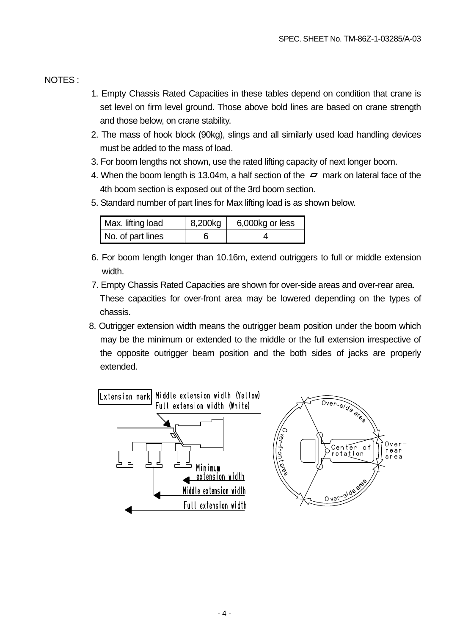#### NOTES :

- 1. Empty Chassis Rated Capacities in these tables depend on condition that crane is set level on firm level ground. Those above bold lines are based on crane strength and those below, on crane stability.
- 2. The mass of hook block (90kg), slings and all similarly used load handling devices must be added to the mass of load.
- 3. For boom lengths not shown, use the rated lifting capacity of next longer boom.
- 4. When the boom length is 13.04m, a half section of the  $\sim$  mark on lateral face of the 4th boom section is exposed out of the 3rd boom section.
- 5. Standard number of part lines for Max lifting load is as shown below.

| Max. lifting load | 8,200kg | 6,000kg or less |
|-------------------|---------|-----------------|
| No. of part lines |         |                 |

- 6. For boom length longer than 10.16m, extend outriggers to full or middle extension width.
- 7. Empty Chassis Rated Capacities are shown for over-side areas and over-rear area. These capacities for over-front area may be lowered depending on the types of chassis.
- 8. Outrigger extension width means the outrigger beam position under the boom which may be the minimum or extended to the middle or the full extension irrespective of the opposite outrigger beam position and the both sides of jacks are properly extended.

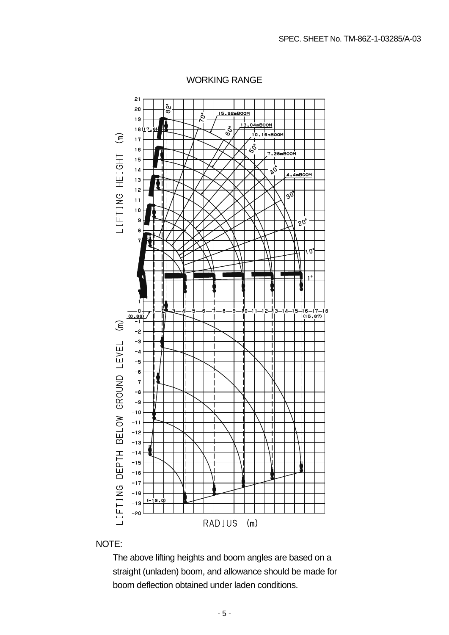

#### WORKING RANGE

#### NOTE:

The above lifting heights and boom angles are based on a straight (unladen) boom, and allowance should be made for boom deflection obtained under laden conditions.